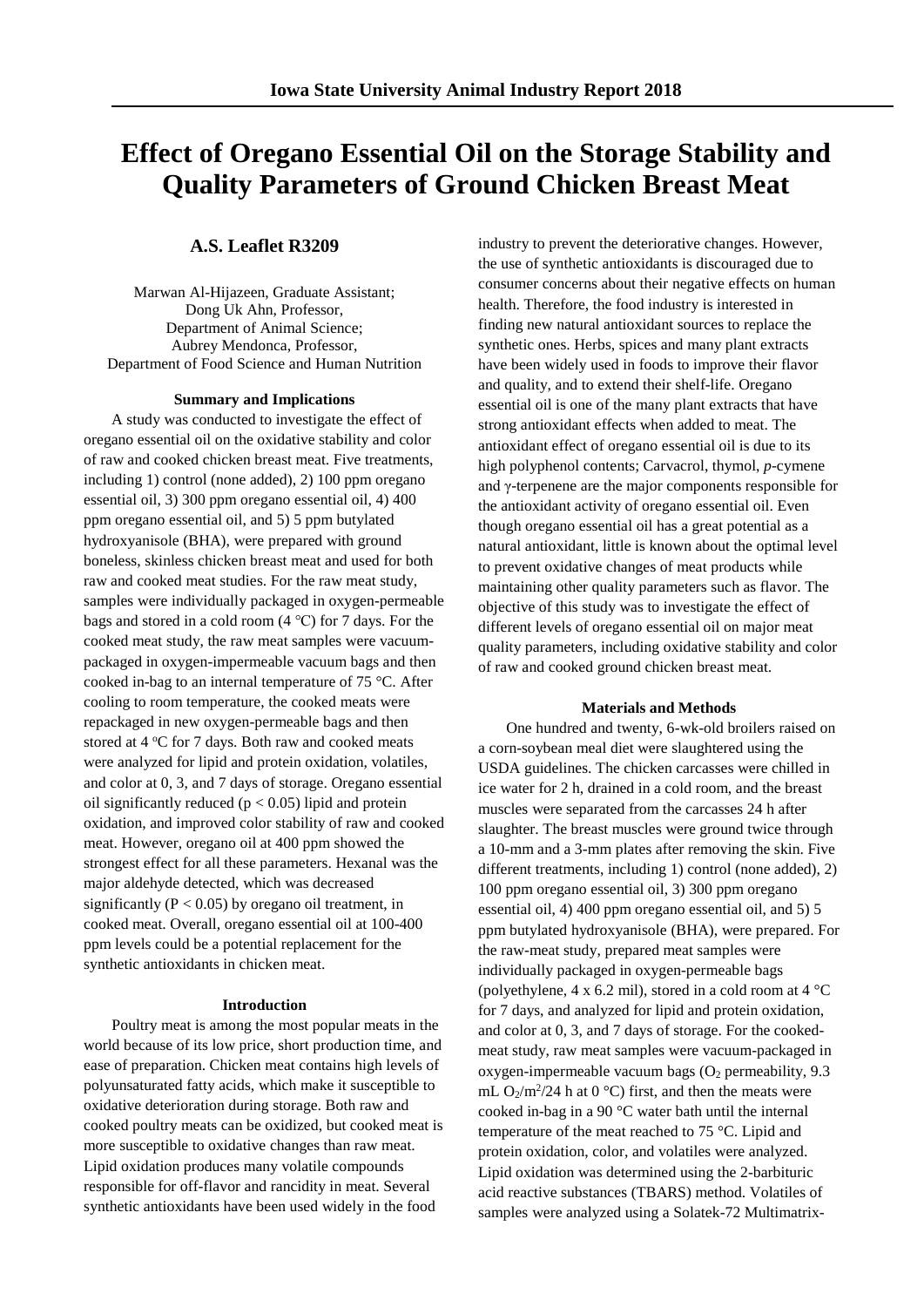# **Effect of Oregano Essential Oil on the Storage Stability and Quality Parameters of Ground Chicken Breast Meat**

# **A.S. Leaflet R3209**

Marwan Al-Hijazeen, Graduate Assistant; Dong Uk Ahn, Professor, Department of Animal Science; Aubrey Mendonca, Professor, Department of Food Science and Human Nutrition

#### **Summary and Implications**

A study was conducted to investigate the effect of oregano essential oil on the oxidative stability and color of raw and cooked chicken breast meat. Five treatments, including 1) control (none added), 2) 100 ppm oregano essential oil, 3) 300 ppm oregano essential oil, 4) 400 ppm oregano essential oil, and 5) 5 ppm butylated hydroxyanisole (BHA), were prepared with ground boneless, skinless chicken breast meat and used for both raw and cooked meat studies. For the raw meat study, samples were individually packaged in oxygen-permeable bags and stored in a cold room (4 ℃) for 7 days. For the cooked meat study, the raw meat samples were vacuumpackaged in oxygen-impermeable vacuum bags and then cooked in-bag to an internal temperature of 75 °C. After cooling to room temperature, the cooked meats were repackaged in new oxygen-permeable bags and then stored at 4 °C for 7 days. Both raw and cooked meats were analyzed for lipid and protein oxidation, volatiles, and color at 0, 3, and 7 days of storage. Oregano essential oil significantly reduced  $(p < 0.05)$  lipid and protein oxidation, and improved color stability of raw and cooked meat. However, oregano oil at 400 ppm showed the strongest effect for all these parameters. Hexanal was the major aldehyde detected, which was decreased significantly ( $P < 0.05$ ) by oregano oil treatment, in cooked meat. Overall, oregano essential oil at 100-400 ppm levels could be a potential replacement for the synthetic antioxidants in chicken meat.

#### **Introduction**

Poultry meat is among the most popular meats in the world because of its low price, short production time, and ease of preparation. Chicken meat contains high levels of polyunsaturated fatty acids, which make it susceptible to oxidative deterioration during storage. Both raw and cooked poultry meats can be oxidized, but cooked meat is more susceptible to oxidative changes than raw meat. Lipid oxidation produces many volatile compounds responsible for off-flavor and rancidity in meat. Several synthetic antioxidants have been used widely in the food

industry to prevent the deteriorative changes. However, the use of synthetic antioxidants is discouraged due to consumer concerns about their negative effects on human health. Therefore, the food industry is interested in finding new natural antioxidant sources to replace the synthetic ones. Herbs, spices and many plant extracts have been widely used in foods to improve their flavor and quality, and to extend their shelf-life. Oregano essential oil is one of the many plant extracts that have strong antioxidant effects when added to meat. The antioxidant effect of oregano essential oil is due to its high polyphenol contents; Carvacrol, thymol, *p*-cymene and γ-terpenene are the major components responsible for the antioxidant activity of oregano essential oil. Even though oregano essential oil has a great potential as a natural antioxidant, little is known about the optimal level to prevent oxidative changes of meat products while maintaining other quality parameters such as flavor. The objective of this study was to investigate the effect of different levels of oregano essential oil on major meat quality parameters, including oxidative stability and color of raw and cooked ground chicken breast meat.

#### **Materials and Methods**

One hundred and twenty, 6-wk-old broilers raised on a corn-soybean meal diet were slaughtered using the USDA guidelines. The chicken carcasses were chilled in ice water for 2 h, drained in a cold room, and the breast muscles were separated from the carcasses 24 h after slaughter. The breast muscles were ground twice through a 10-mm and a 3-mm plates after removing the skin. Five different treatments, including 1) control (none added), 2) 100 ppm oregano essential oil, 3) 300 ppm oregano essential oil, 4) 400 ppm oregano essential oil, and 5) 5 ppm butylated hydroxyanisole (BHA), were prepared. For the raw-meat study, prepared meat samples were individually packaged in oxygen-permeable bags (polyethylene, 4 x 6.2 mil), stored in a cold room at 4 °C for 7 days, and analyzed for lipid and protein oxidation, and color at 0, 3, and 7 days of storage. For the cookedmeat study, raw meat samples were vacuum-packaged in oxygen-impermeable vacuum bags  $(O_2$  permeability, 9.3 mL  $O_2/m^2/24$  h at 0 °C) first, and then the meats were cooked in-bag in a 90 °C water bath until the internal temperature of the meat reached to 75 °C. Lipid and protein oxidation, color, and volatiles were analyzed. Lipid oxidation was determined using the 2-barbituric acid reactive substances (TBARS) method. Volatiles of samples were analyzed using a Solatek-72 Multimatrix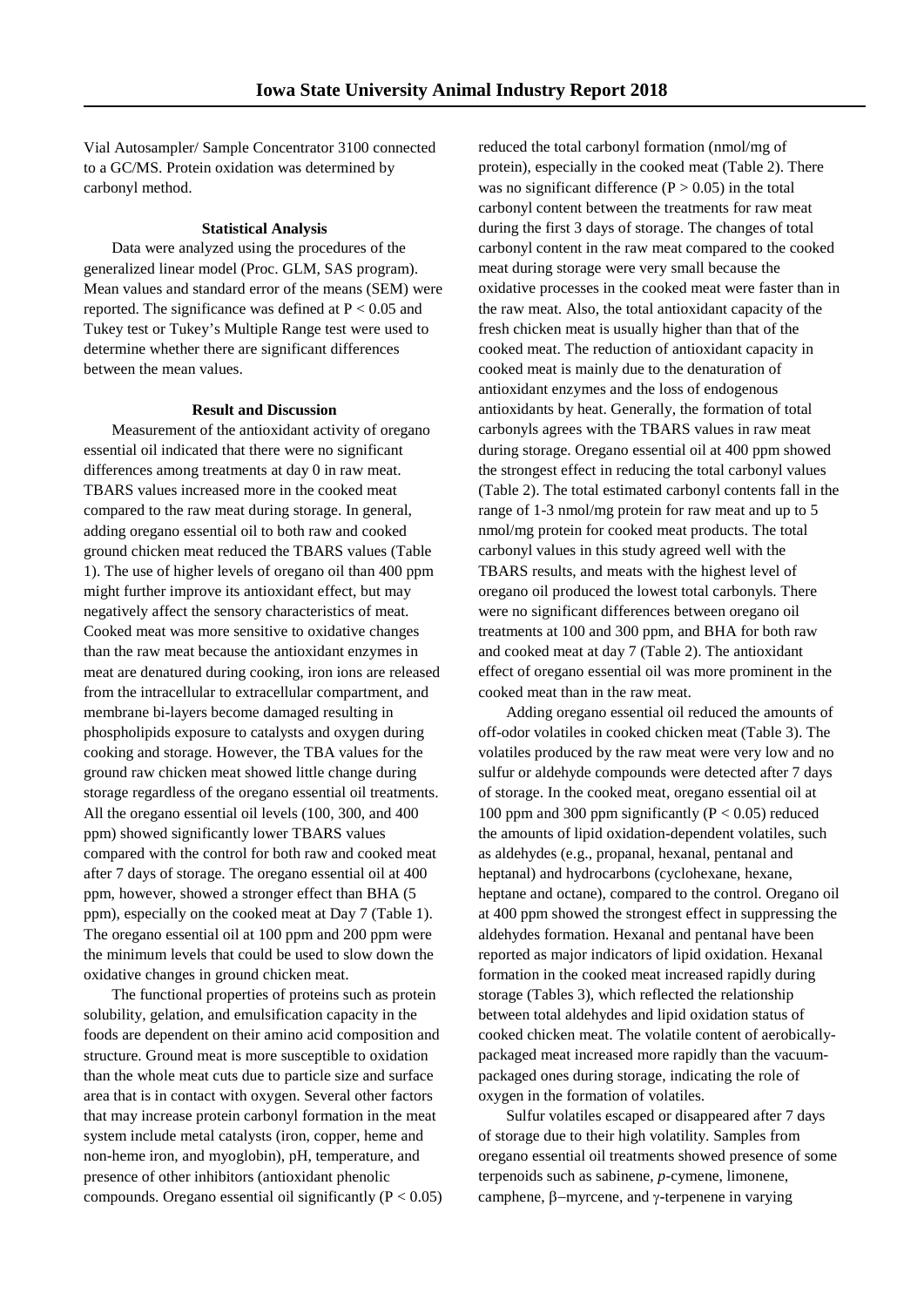Vial Autosampler/ Sample Concentrator 3100 connected to a GC/MS. Protein oxidation was determined by carbonyl method.

# **Statistical Analysis**

Data were analyzed using the procedures of the generalized linear model (Proc. GLM, SAS program). Mean values and standard error of the means (SEM) were reported. The significance was defined at  $P < 0.05$  and Tukey test or Tukey's Multiple Range test were used to determine whether there are significant differences between the mean values.

# **Result and Discussion**

Measurement of the antioxidant activity of oregano essential oil indicated that there were no significant differences among treatments at day 0 in raw meat. TBARS values increased more in the cooked meat compared to the raw meat during storage. In general, adding oregano essential oil to both raw and cooked ground chicken meat reduced the TBARS values (Table 1). The use of higher levels of oregano oil than 400 ppm might further improve its antioxidant effect, but may negatively affect the sensory characteristics of meat. Cooked meat was more sensitive to oxidative changes than the raw meat because the antioxidant enzymes in meat are denatured during cooking, iron ions are released from the intracellular to extracellular compartment, and membrane bi-layers become damaged resulting in phospholipids exposure to catalysts and oxygen during cooking and storage. However, the TBA values for the ground raw chicken meat showed little change during storage regardless of the oregano essential oil treatments. All the oregano essential oil levels (100, 300, and 400 ppm) showed significantly lower TBARS values compared with the control for both raw and cooked meat after 7 days of storage. The oregano essential oil at 400 ppm, however, showed a stronger effect than BHA (5 ppm), especially on the cooked meat at Day 7 (Table 1). The oregano essential oil at 100 ppm and 200 ppm were the minimum levels that could be used to slow down the oxidative changes in ground chicken meat.

The functional properties of proteins such as protein solubility, gelation, and emulsification capacity in the foods are dependent on their amino acid composition and structure. Ground meat is more susceptible to oxidation than the whole meat cuts due to particle size and surface area that is in contact with oxygen. Several other factors that may increase protein carbonyl formation in the meat system include metal catalysts (iron, copper, heme and non-heme iron, and myoglobin), pH, temperature, and presence of other inhibitors (antioxidant phenolic compounds. Oregano essential oil significantly  $(P < 0.05)$  reduced the total carbonyl formation (nmol/mg of protein), especially in the cooked meat (Table 2). There was no significant difference  $(P > 0.05)$  in the total carbonyl content between the treatments for raw meat during the first 3 days of storage. The changes of total carbonyl content in the raw meat compared to the cooked meat during storage were very small because the oxidative processes in the cooked meat were faster than in the raw meat. Also, the total antioxidant capacity of the fresh chicken meat is usually higher than that of the cooked meat. The reduction of antioxidant capacity in cooked meat is mainly due to the denaturation of antioxidant enzymes and the loss of endogenous antioxidants by heat. Generally, the formation of total carbonyls agrees with the TBARS values in raw meat during storage. Oregano essential oil at 400 ppm showed the strongest effect in reducing the total carbonyl values (Table 2). The total estimated carbonyl contents fall in the range of 1-3 nmol/mg protein for raw meat and up to 5 nmol/mg protein for cooked meat products. The total carbonyl values in this study agreed well with the TBARS results, and meats with the highest level of oregano oil produced the lowest total carbonyls. There were no significant differences between oregano oil treatments at 100 and 300 ppm, and BHA for both raw and cooked meat at day 7 (Table 2). The antioxidant effect of oregano essential oil was more prominent in the cooked meat than in the raw meat.

Adding oregano essential oil reduced the amounts of off-odor volatiles in cooked chicken meat (Table 3). The volatiles produced by the raw meat were very low and no sulfur or aldehyde compounds were detected after 7 days of storage. In the cooked meat, oregano essential oil at 100 ppm and 300 ppm significantly ( $P < 0.05$ ) reduced the amounts of lipid oxidation-dependent volatiles, such as aldehydes (e.g., propanal, hexanal, pentanal and heptanal) and hydrocarbons (cyclohexane, hexane, heptane and octane), compared to the control. Oregano oil at 400 ppm showed the strongest effect in suppressing the aldehydes formation. Hexanal and pentanal have been reported as major indicators of lipid oxidation. Hexanal formation in the cooked meat increased rapidly during storage (Tables 3), which reflected the relationship between total aldehydes and lipid oxidation status of cooked chicken meat. The volatile content of aerobicallypackaged meat increased more rapidly than the vacuumpackaged ones during storage, indicating the role of oxygen in the formation of volatiles.

Sulfur volatiles escaped or disappeared after 7 days of storage due to their high volatility. Samples from oregano essential oil treatments showed presence of some terpenoids such as sabinene, *p*-cymene, limonene, camphene, β−myrcene, and γ-terpenene in varying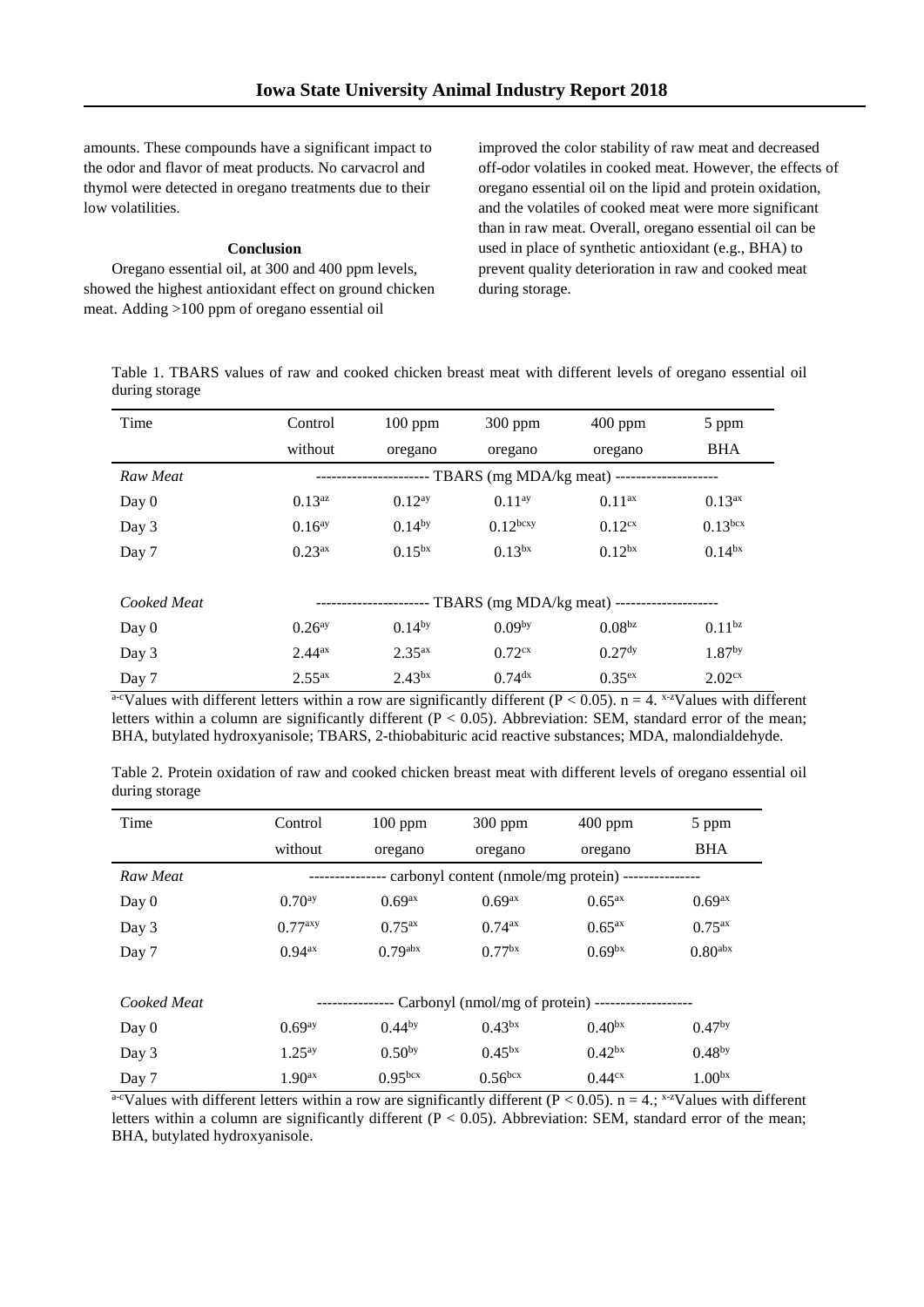amounts. These compounds have a significant impact to the odor and flavor of meat products. No carvacrol and thymol were detected in oregano treatments due to their low volatilities.

# **Conclusion**

Oregano essential oil, at 300 and 400 ppm levels, showed the highest antioxidant effect on ground chicken meat. Adding >100 ppm of oregano essential oil

improved the color stability of raw meat and decreased off-odor volatiles in cooked meat. However, the effects of oregano essential oil on the lipid and protein oxidation, and the volatiles of cooked meat were more significant than in raw meat. Overall, oregano essential oil can be used in place of synthetic antioxidant (e.g., BHA) to prevent quality deterioration in raw and cooked meat during storage.

Table 1. TBARS values of raw and cooked chicken breast meat with different levels of oregano essential oil during storage

| Time        | Control                                        | $100$ ppm          | $300$ ppm                                  | $400$ ppm          | 5 ppm              |  |  |  |  |
|-------------|------------------------------------------------|--------------------|--------------------------------------------|--------------------|--------------------|--|--|--|--|
|             | without                                        | oregano            | oregano                                    | oregano            | <b>BHA</b>         |  |  |  |  |
| Raw Meat    |                                                |                    | -- TBARS (mg MDA/kg meat) ---------------- |                    |                    |  |  |  |  |
| Day 0       | 0.13 <sup>az</sup>                             | 0.12 <sup>ay</sup> | $0.11^{ay}$                                | 0.11 <sup>ax</sup> | $0.13^{ax}$        |  |  |  |  |
| Day 3       | $0.16^{ay}$                                    | $0.14^{by}$        | 0.12 <sup>bcxy</sup>                       | 0.12 <sup>cx</sup> | $0.13^{bcx}$       |  |  |  |  |
| Day 7       | $0.23^{ax}$                                    | $0.15^{bx}$        | 0.13 <sup>bx</sup>                         | 0.12 <sup>bx</sup> | 0.14 <sup>bx</sup> |  |  |  |  |
|             |                                                |                    |                                            |                    |                    |  |  |  |  |
| Cooked Meat | - TBARS (mg MDA/kg meat) --------------------- |                    |                                            |                    |                    |  |  |  |  |
| Day $0$     | 0.26 <sup>ay</sup>                             | $0.14^{by}$        | 0.09 <sup>by</sup>                         | 0.08 <sup>bz</sup> | $0.11^{bz}$        |  |  |  |  |
| Day 3       | 2.44 <sup>ax</sup>                             | $2.35^{ax}$        | $0.72$ <sup>cx</sup>                       | 0.27 <sup>dy</sup> | 1.87 <sup>by</sup> |  |  |  |  |
| Day 7       | $2.55^{ax}$                                    | 2.43 <sup>bx</sup> | $0.74$ <sup>dx</sup>                       | 0.35 <sup>ex</sup> | 2.02 <sup>cx</sup> |  |  |  |  |

a-cValues with different letters within a row are significantly different ( $P < 0.05$ ). n = 4. x-zValues with different letters within a column are significantly different  $(P < 0.05)$ . Abbreviation: SEM, standard error of the mean; BHA, butylated hydroxyanisole; TBARS, 2-thiobabituric acid reactive substances; MDA, malondialdehyde.

| Table 2. Protein oxidation of raw and cooked chicken breast meat with different levels of oregano essential oil |  |  |  |  |  |  |
|-----------------------------------------------------------------------------------------------------------------|--|--|--|--|--|--|
| during storage                                                                                                  |  |  |  |  |  |  |

| Time        | Control                                              | $100$ ppm             | $300$ ppm             | $400$ ppm          | 5 ppm               |  |  |  |  |
|-------------|------------------------------------------------------|-----------------------|-----------------------|--------------------|---------------------|--|--|--|--|
|             | without                                              | oregano               | oregano               | oregano            | <b>BHA</b>          |  |  |  |  |
| Raw Meat    | - carbonyl content (nmole/mg protein) --             |                       |                       |                    |                     |  |  |  |  |
| Day 0       | $0.70^{ay}$                                          | $0.69^{ax}$           | 0.69 <sup>ax</sup>    | $0.65^{ax}$        | 0.69 <sup>ax</sup>  |  |  |  |  |
| Day 3       | 0.77 <sup>axy</sup>                                  | $0.75^{ax}$           | 0.74 <sup>ax</sup>    | 0.65 <sup>ax</sup> | 0.75 <sup>ax</sup>  |  |  |  |  |
| Day 7       | $0.94^{ax}$                                          | $0.79$ <sup>abx</sup> | 0.77 <sup>bx</sup>    | 0.69 <sup>bx</sup> | 0.80 <sub>abs</sub> |  |  |  |  |
|             |                                                      |                       |                       |                    |                     |  |  |  |  |
| Cooked Meat | - Carbonyl (nmol/mg of protein) -------------------- |                       |                       |                    |                     |  |  |  |  |
| Day $0$     | 0.69 <sup>ay</sup>                                   | $0.44^{by}$           | 0.43 <sup>bx</sup>    | 0.40 <sup>bx</sup> | 0.47 <sup>by</sup>  |  |  |  |  |
| Day 3       | $1.25^{ay}$                                          | 0.50 <sup>by</sup>    | $0.45^{bx}$           | $0.42^{bx}$        | $0.48^{by}$         |  |  |  |  |
| Day 7       | 1.90 <sup>ax</sup>                                   | 0.95 <sup>bcx</sup>   | $0.56$ <sub>bcx</sub> | 0.44 <sup>cx</sup> | 1.00 <sub>bx</sub>  |  |  |  |  |

a-cValues with different letters within a row are significantly different ( $P < 0.05$ ). n = 4.; x-zValues with different letters within a column are significantly different  $(P < 0.05)$ . Abbreviation: SEM, standard error of the mean; BHA, butylated hydroxyanisole.